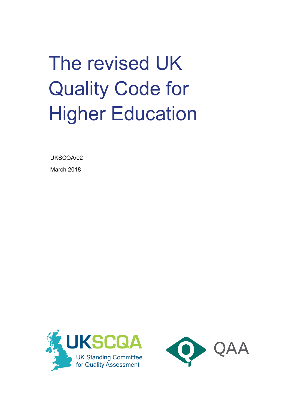The revised UK Quality Code for **Higher Education** 

UKSCQA/02 March 2018



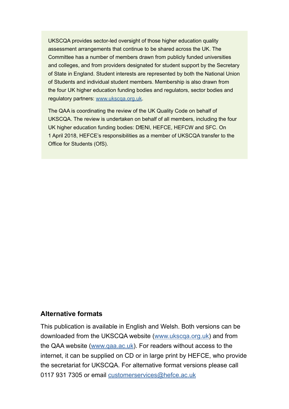UKSCQA provides sector-led oversight of those higher education quality assessment arrangements that continue to be shared across the UK. The Committee has a number of members drawn from publicly funded universities and colleges, and from providers designated for student support by the Secretary of State in England. Student interests are represented by both the National Union of Students and individual student members. Membership is also drawn from the four UK higher education funding bodies and regulators, sector bodies and regulatory partners: www.ukscqa.org.uk.

The QAA is coordinating the review of the UK Quality Code on behalf of UKSCQA. The review is undertaken on behalf of all members, including the four UK higher education funding bodies: DfENI, HEFCE, HEFCW and SFC. On 1 April 2018, HEFCE's responsibilities as a member of UKSCQA transfer to the Office for Students (OfS).

#### **Alternative formats**

This publication is available in English and Welsh. Both versions can be downloaded from the UKSCQA website (www.ukscqa.org.uk) and from the QAA website (www.qaa.ac.uk). For readers without access to the internet, it can be supplied on CD or in large print by HEFCE, who provide the secretariat for UKSCQA. For alternative format versions please call 0117 931 7305 or email customerservices@hefce.ac.uk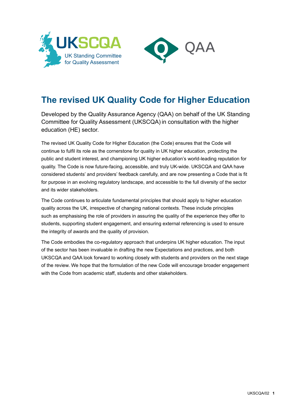



## **The revised UK Quality Code for Higher Education**

Developed by the Quality Assurance Agency (QAA) on behalf of the UK Standing Committee for Quality Assessment (UKSCQA) in consultation with the higher education (HE) sector.

The revised UK Quality Code for Higher Education (the Code) ensures that the Code will continue to fulfil its role as the cornerstone for quality in UK higher education, protecting the public and student interest, and championing UK higher education's world-leading reputation for quality. The Code is now future-facing, accessible, and truly UK-wide. UKSCQA and QAA have considered students' and providers' feedback carefully, and are now presenting a Code that is fit for purpose in an evolving regulatory landscape, and accessible to the full diversity of the sector and its wider stakeholders.

The Code continues to articulate fundamental principles that should apply to higher education quality across the UK, irrespective of changing national contexts. These include principles such as emphasising the role of providers in assuring the quality of the experience they offer to students, supporting student engagement, and ensuring external referencing is used to ensure the integrity of awards and the quality of provision.

The Code embodies the co-regulatory approach that underpins UK higher education. The input of the sector has been invaluable in drafting the new Expectations and practices, and both UKSCQA and QAA look forward to working closely with students and providers on the next stage of the review. We hope that the formulation of the new Code will encourage broader engagement with the Code from academic staff, students and other stakeholders.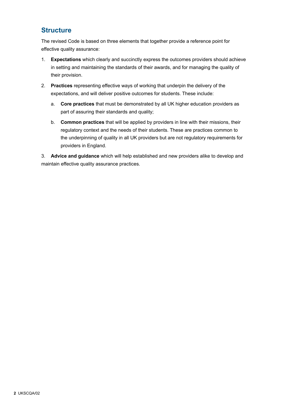#### **Structure**

The revised Code is based on three elements that together provide a reference point for effective quality assurance:

- 1. **Expectations** which clearly and succinctly express the outcomes providers should achieve in setting and maintaining the standards of their awards, and for managing the quality of their provision.
- 2. **Practices** representing effective ways of working that underpin the delivery of the expectations, and will deliver positive outcomes for students. These include:
	- a. **Core practices** that must be demonstrated by all UK higher education providers as part of assuring their standards and quality;
	- b. **Common practices** that will be applied by providers in line with their missions, their regulatory context and the needs of their students. These are practices common to the underpinning of quality in all UK providers but are not regulatory requirements for providers in England.

3. **Advice and guidance** which will help established and new providers alike to develop and maintain effective quality assurance practices.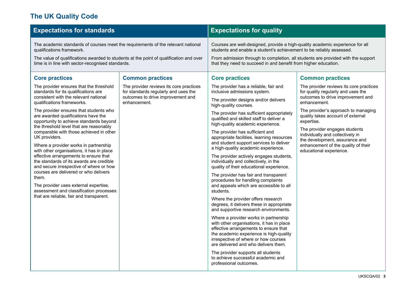### **The UK Quality Code**

| The academic standards of courses meet the requirements of the relevant national<br>Courses are well-designed, provide a high-quality academic experience for all<br>students and enable a student's achievement to be reliably assessed.<br>qualifications framework.<br>From admission through to completion, all students are provided with the support<br>The value of qualifications awarded to students at the point of qualification and over<br>that they need to succeed in and benefit from higher education.<br>time is in line with sector-recognised standards.<br><b>Core practices</b><br><b>Common practices</b><br><b>Core practices</b><br><b>Common practices</b><br>The provider ensures that the threshold<br>The provider reviews its core practices<br>The provider has a reliable, fair and<br>standards for its qualifications are<br>for standards regularly and uses the<br>inclusive admissions system.<br>for quality regularly and uses the<br>outcomes to drive improvement and<br>consistent with the relevant national<br>outcomes to drive improvement and<br>The provider designs and/or delivers<br>qualifications frameworks.<br>enhancement.<br>enhancement.<br>high-quality courses.<br>The provider ensures that students who<br>The provider's approach to managing<br>The provider has sufficient appropriately<br>are awarded qualifications have the<br>quality takes account of external<br>qualified and skilled staff to deliver a<br>opportunity to achieve standards beyond<br>expertise.<br>high-quality academic experience.<br>the threshold level that are reasonably<br>The provider engages students<br>comparable with those achieved in other<br>The provider has sufficient and<br>individually and collectively in<br>UK providers.<br>appropriate facilities, learning resources<br>the development, assurance and<br>and student support services to deliver<br>enhancement of the quality of their<br>Where a provider works in partnership<br>a high-quality academic experience.<br>with other organisations, it has in place<br>educational experience.<br>effective arrangements to ensure that<br>The provider actively engages students,<br>the standards of its awards are credible<br>individually and collectively, in the<br>and secure irrespective of where or how<br>quality of their educational experience.<br>courses are delivered or who delivers<br>The provider has fair and transparent<br>them.<br>procedures for handling complaints<br>The provider uses external expertise,<br>and appeals which are accessible to all<br>assessment and classification processes<br>students.<br>that are reliable, fair and transparent.<br>Where the provider offers research<br>degrees, it delivers these in appropriate | <b>Expectations for standards</b> |  | <b>Expectations for quality</b> |                                         |
|------------------------------------------------------------------------------------------------------------------------------------------------------------------------------------------------------------------------------------------------------------------------------------------------------------------------------------------------------------------------------------------------------------------------------------------------------------------------------------------------------------------------------------------------------------------------------------------------------------------------------------------------------------------------------------------------------------------------------------------------------------------------------------------------------------------------------------------------------------------------------------------------------------------------------------------------------------------------------------------------------------------------------------------------------------------------------------------------------------------------------------------------------------------------------------------------------------------------------------------------------------------------------------------------------------------------------------------------------------------------------------------------------------------------------------------------------------------------------------------------------------------------------------------------------------------------------------------------------------------------------------------------------------------------------------------------------------------------------------------------------------------------------------------------------------------------------------------------------------------------------------------------------------------------------------------------------------------------------------------------------------------------------------------------------------------------------------------------------------------------------------------------------------------------------------------------------------------------------------------------------------------------------------------------------------------------------------------------------------------------------------------------------------------------------------------------------------------------------------------------------------------------------------------------------------------------------------------------------------------------------------------------------------------------------------------------------------------------------------------------------------------------------------------------------|-----------------------------------|--|---------------------------------|-----------------------------------------|
|                                                                                                                                                                                                                                                                                                                                                                                                                                                                                                                                                                                                                                                                                                                                                                                                                                                                                                                                                                                                                                                                                                                                                                                                                                                                                                                                                                                                                                                                                                                                                                                                                                                                                                                                                                                                                                                                                                                                                                                                                                                                                                                                                                                                                                                                                                                                                                                                                                                                                                                                                                                                                                                                                                                                                                                                      |                                   |  |                                 |                                         |
| and supportive research environments.<br>Where a provider works in partnership<br>with other organisations, it has in place<br>effective arrangements to ensure that<br>the academic experience is high-quality<br>irrespective of where or how courses<br>are delivered and who delivers them.<br>The provider supports all students<br>to achieve successful academic and<br>professional outcomes.                                                                                                                                                                                                                                                                                                                                                                                                                                                                                                                                                                                                                                                                                                                                                                                                                                                                                                                                                                                                                                                                                                                                                                                                                                                                                                                                                                                                                                                                                                                                                                                                                                                                                                                                                                                                                                                                                                                                                                                                                                                                                                                                                                                                                                                                                                                                                                                                |                                   |  |                                 | The provider reviews its core practices |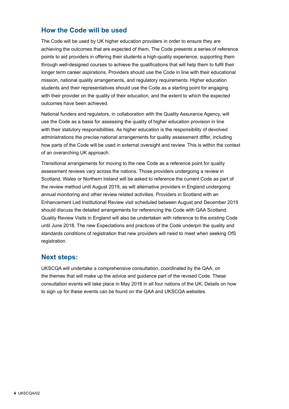#### **How the Code will be used**

The Code will be used by UK higher education providers in order to ensure they are achieving the outcomes that are expected of them. The Code presents a series of reference points to aid providers in offering their students a high-quality experience, supporting them through well-designed courses to achieve the qualifications that will help them to fulfil their longer term career aspirations. Providers should use the Code in line with their educational mission, national quality arrangements, and regulatory requirements. Higher education students and their representatives should use the Code as a starting point for engaging with their provider on the quality of their education, and the extent to which the expected outcomes have been achieved.

National funders and regulators, in collaboration with the Quality Assurance Agency, will use the Code as a basis for assessing the quality of higher education provision in line with their statutory responsibilities. As higher education is the responsibility of devolved administrations the precise national arrangements for quality assessment differ, including how parts of the Code will be used in external oversight and review. This is within the context of an overarching UK approach.

Transitional arrangements for moving to the new Code as a reference point for quality assessment reviews vary across the nations. Those providers undergoing a review in Scotland, Wales or Northern Ireland will be asked to reference the current Code as part of the review method until August 2019, as will alternative providers in England undergoing annual monitoring and other review related activities. Providers in Scotland with an Enhancement Led Institutional Review visit scheduled between August and December 2019 should discuss the detailed arrangements for referencing the Code with QAA Scotland. Quality Review Visits in England will also be undertaken with reference to the existing Code until June 2018. The new Expectations and practices of the Code underpin the quality and standards conditions of registration that new providers will need to meet when seeking OfS registration.

#### **Next steps:**

UKSCQA will undertake a comprehensive consultation, coordinated by the QAA, on the themes that will make up the advice and guidance part of the revised Code. These consultation events will take place in May 2018 in all four nations of the UK. Details on how to sign up for these events can be found on the QAA and UKSCQA websites.